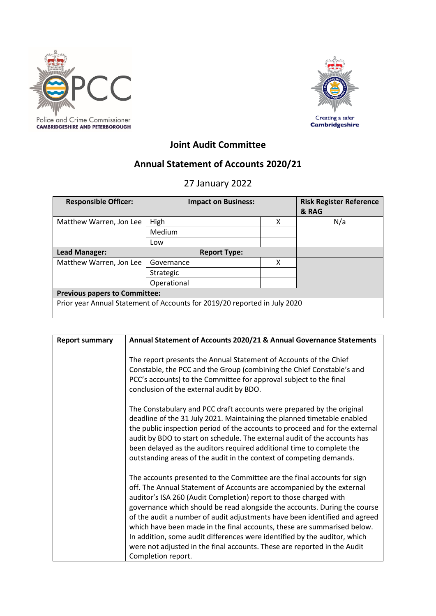



# **Joint Audit Committee**

# **Annual Statement of Accounts 2020/21**

# 27 January 2022

| <b>Responsible Officer:</b>                                               | <b>Impact on Business:</b> |   | <b>Risk Register Reference</b><br>& RAG |  |  |
|---------------------------------------------------------------------------|----------------------------|---|-----------------------------------------|--|--|
| Matthew Warren, Jon Lee                                                   | High                       | x | N/a                                     |  |  |
|                                                                           | Medium                     |   |                                         |  |  |
|                                                                           | Low                        |   |                                         |  |  |
| Lead Manager:                                                             | <b>Report Type:</b>        |   |                                         |  |  |
| Matthew Warren, Jon Lee                                                   | Governance                 | χ |                                         |  |  |
|                                                                           | Strategic                  |   |                                         |  |  |
|                                                                           | Operational                |   |                                         |  |  |
| <b>Previous papers to Committee:</b>                                      |                            |   |                                         |  |  |
| Prior year Annual Statement of Accounts for 2019/20 reported in July 2020 |                            |   |                                         |  |  |

| <b>Report summary</b> | Annual Statement of Accounts 2020/21 & Annual Governance Statements                                                                                                                                                                                                                                                                                                                                                                                                                                                                                                                                                                        |  |  |
|-----------------------|--------------------------------------------------------------------------------------------------------------------------------------------------------------------------------------------------------------------------------------------------------------------------------------------------------------------------------------------------------------------------------------------------------------------------------------------------------------------------------------------------------------------------------------------------------------------------------------------------------------------------------------------|--|--|
|                       | The report presents the Annual Statement of Accounts of the Chief<br>Constable, the PCC and the Group (combining the Chief Constable's and<br>PCC's accounts) to the Committee for approval subject to the final<br>conclusion of the external audit by BDO.                                                                                                                                                                                                                                                                                                                                                                               |  |  |
|                       | The Constabulary and PCC draft accounts were prepared by the original<br>deadline of the 31 July 2021. Maintaining the planned timetable enabled<br>the public inspection period of the accounts to proceed and for the external<br>audit by BDO to start on schedule. The external audit of the accounts has<br>been delayed as the auditors required additional time to complete the<br>outstanding areas of the audit in the context of competing demands.                                                                                                                                                                              |  |  |
|                       | The accounts presented to the Committee are the final accounts for sign<br>off. The Annual Statement of Accounts are accompanied by the external<br>auditor's ISA 260 (Audit Completion) report to those charged with<br>governance which should be read alongside the accounts. During the course<br>of the audit a number of audit adjustments have been identified and agreed<br>which have been made in the final accounts, these are summarised below.<br>In addition, some audit differences were identified by the auditor, which<br>were not adjusted in the final accounts. These are reported in the Audit<br>Completion report. |  |  |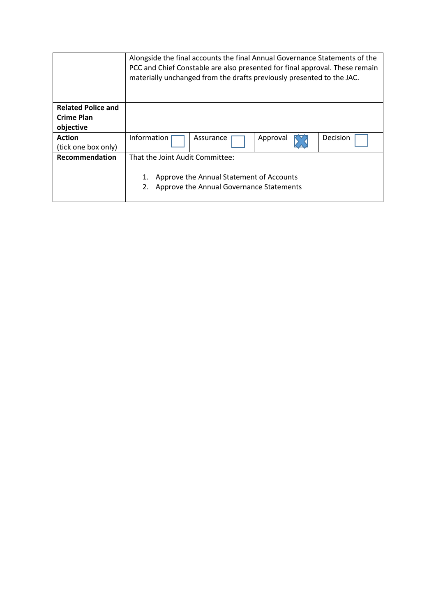|                           | Alongside the final accounts the final Annual Governance Statements of the<br>PCC and Chief Constable are also presented for final approval. These remain<br>materially unchanged from the drafts previously presented to the JAC. |           |          |          |  |
|---------------------------|------------------------------------------------------------------------------------------------------------------------------------------------------------------------------------------------------------------------------------|-----------|----------|----------|--|
| <b>Related Police and</b> |                                                                                                                                                                                                                                    |           |          |          |  |
| Crime Plan                |                                                                                                                                                                                                                                    |           |          |          |  |
| objective                 |                                                                                                                                                                                                                                    |           |          |          |  |
| <b>Action</b>             | Information                                                                                                                                                                                                                        | Assurance | Approval | Decision |  |
| (tick one box only)       |                                                                                                                                                                                                                                    |           |          |          |  |
| <b>Recommendation</b>     | That the Joint Audit Committee:                                                                                                                                                                                                    |           |          |          |  |
|                           | Approve the Annual Statement of Accounts<br>Approve the Annual Governance Statements                                                                                                                                               |           |          |          |  |